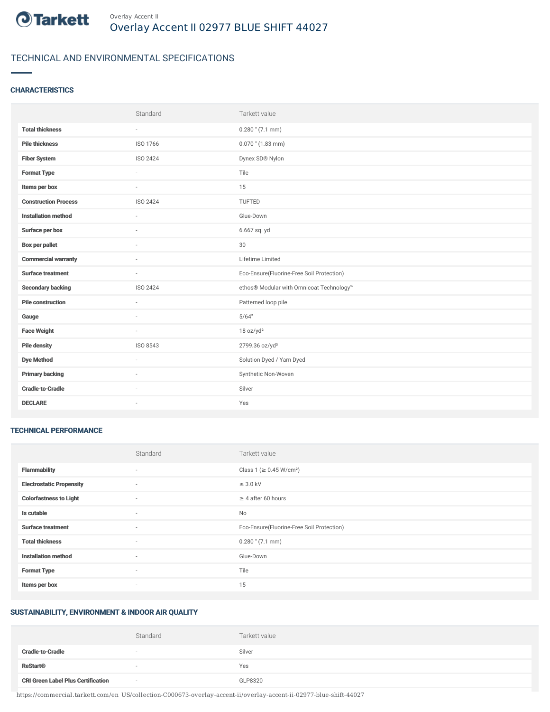

# TECHNICAL AND ENVIRONMENTAL SPECIFICATIONS

## **CHARACTERISTICS**

|                             | Standard                 | Tarkett value                             |
|-----------------------------|--------------------------|-------------------------------------------|
| <b>Total thickness</b>      | $\overline{\phantom{a}}$ | $0.280$ " (7.1 mm)                        |
| <b>Pile thickness</b>       | ISO 1766                 | $0.070$ " (1.83 mm)                       |
| <b>Fiber System</b>         | ISO 2424                 | Dynex SD® Nylon                           |
| <b>Format Type</b>          | ÷.                       | Tile                                      |
| Items per box               | $\sim$                   | 15                                        |
| <b>Construction Process</b> | ISO 2424                 | TUFTED                                    |
| <b>Installation method</b>  | ×.                       | Glue-Down                                 |
| Surface per box             | ٠                        | 6.667 sq. yd                              |
| <b>Box per pallet</b>       | $\sim$                   | $30\,$                                    |
| <b>Commercial warranty</b>  |                          | Lifetime Limited                          |
| <b>Surface treatment</b>    | $\sim$                   | Eco-Ensure(Fluorine-Free Soil Protection) |
| <b>Secondary backing</b>    | ISO 2424                 | ethos® Modular with Omnicoat Technology™  |
| <b>Pile construction</b>    | ×                        | Patterned loop pile                       |
| Gauge                       |                          | 5/64"                                     |
| <b>Face Weight</b>          | $\sim$                   | 18 oz/yd <sup>2</sup>                     |
| <b>Pile density</b>         | ISO 8543                 | 2799.36 oz/yd <sup>3</sup>                |
| <b>Dye Method</b>           | $\sim$                   | Solution Dyed / Yarn Dyed                 |
| <b>Primary backing</b>      |                          | Synthetic Non-Woven                       |
| <b>Cradle-to-Cradle</b>     | $\sim$                   | Silver                                    |
| <b>DECLARE</b>              | ٠                        | Yes                                       |

#### TECHNICAL PERFORMANCE

|                                 | Standard | Tarkett value                             |
|---------------------------------|----------|-------------------------------------------|
| <b>Flammability</b>             | $\sim$   | Class 1 (≥ 0.45 W/cm <sup>2</sup> )       |
| <b>Electrostatic Propensity</b> | $\sim$   | $\leq$ 3.0 kV                             |
| <b>Colorfastness to Light</b>   | $\sim$   | $\geq 4$ after 60 hours                   |
| Is cutable                      | $\sim$   | <b>No</b>                                 |
| <b>Surface treatment</b>        | $\sim$   | Eco-Ensure(Fluorine-Free Soil Protection) |
| <b>Total thickness</b>          | $\sim$   | $0.280$ " (7.1 mm)                        |
| <b>Installation method</b>      | $\sim$   | Glue-Down                                 |
| <b>Format Type</b>              | $\sim$   | Tile                                      |
| Items per box                   | $\sim$   | 15                                        |

## SUSTAINABILITY, ENVIRONMENT & INDOOR AIR QUALITY

|                                           | Standard                 | Tarkett value |
|-------------------------------------------|--------------------------|---------------|
| <b>Cradle-to-Cradle</b>                   | $\overline{\phantom{a}}$ | Silver        |
| <b>ReStart®</b>                           | $\overline{\phantom{a}}$ | Yes           |
| <b>CRI Green Label Plus Certification</b> | $\overline{\phantom{a}}$ | GLP8320       |

https://commercial.tarkett.com/en\_US/collection-C000673-overlay-accent-ii/overlay-accent-ii-02977-blue-shift-44027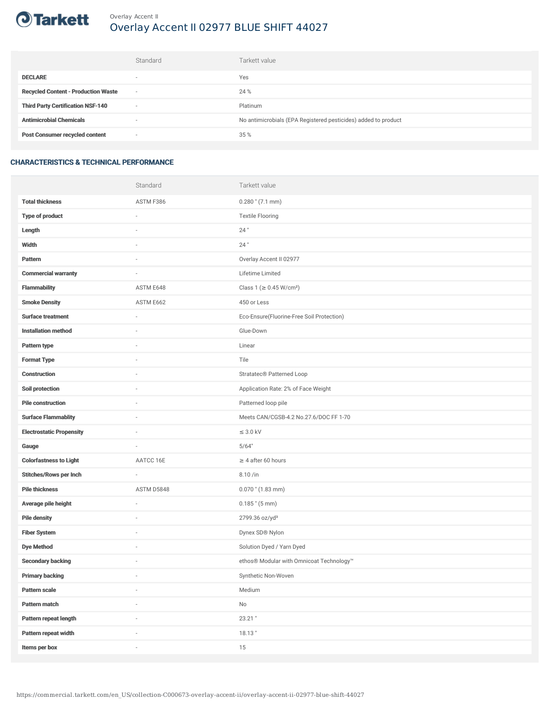

## Overlay Accent II Overlay Accent II 02977 BLUE SHIFT 44027

|                                            | Standard                 | Tarkett value                                                  |
|--------------------------------------------|--------------------------|----------------------------------------------------------------|
| <b>DECLARE</b>                             | $\overline{\phantom{a}}$ | Yes                                                            |
| <b>Recycled Content - Production Waste</b> | $\sim$                   | 24 %                                                           |
| <b>Third Party Certification NSF-140</b>   | $\sim$                   | Platinum                                                       |
| <b>Antimicrobial Chemicals</b>             | ۰                        | No antimicrobials (EPA Registered pesticides) added to product |
| <b>Post Consumer recycled content</b>      | $\sim$                   | 35 %                                                           |

#### CHARACTERISTICS & TECHNICAL PERFORMANCE

|                                 | Standard                 | Tarkett value                             |
|---------------------------------|--------------------------|-------------------------------------------|
| <b>Total thickness</b>          | ASTM F386                | $0.280$ " (7.1 mm)                        |
| <b>Type of product</b>          | i.                       | <b>Textile Flooring</b>                   |
| Length                          |                          | $24$ "                                    |
| <b>Width</b>                    | i.                       | $24$ "                                    |
| Pattern                         |                          | Overlay Accent II 02977                   |
| <b>Commercial warranty</b>      |                          | Lifetime Limited                          |
| <b>Flammability</b>             | ASTM E648                | Class 1 (≥ 0.45 W/cm <sup>2</sup> )       |
| <b>Smoke Density</b>            | ASTM E662                | 450 or Less                               |
| <b>Surface treatment</b>        |                          | Eco-Ensure(Fluorine-Free Soil Protection) |
| <b>Installation method</b>      | i.                       | Glue-Down                                 |
| Pattern type                    |                          | Linear                                    |
| <b>Format Type</b>              |                          | Tile                                      |
| <b>Construction</b>             | ×,                       | Stratatec <sup>®</sup> Patterned Loop     |
| Soil protection                 |                          | Application Rate: 2% of Face Weight       |
| <b>Pile construction</b>        |                          | Patterned loop pile                       |
| <b>Surface Flammablity</b>      | ×,                       | Meets CAN/CGSB-4.2 No.27.6/DOC FF 1-70    |
| <b>Electrostatic Propensity</b> |                          | $\leq$ 3.0 kV                             |
| Gauge                           | ÷                        | 5/64"                                     |
| <b>Colorfastness to Light</b>   | AATCC 16E                | $\geq 4$ after 60 hours                   |
| <b>Stitches/Rows per Inch</b>   | $\overline{\phantom{a}}$ | 8.10/in                                   |
| <b>Pile thickness</b>           | ASTM D5848               | $0.070$ " $(1.83$ mm)                     |
| Average pile height             | $\frac{1}{2}$            | $0.185$ " $(5 \text{ mm})$                |
| <b>Pile density</b>             |                          | 2799.36 oz/yd <sup>3</sup>                |
| <b>Fiber System</b>             | i.                       | Dynex SD® Nylon                           |
| <b>Dye Method</b>               | i.                       | Solution Dyed / Yarn Dyed                 |
| <b>Secondary backing</b>        |                          | ethos® Modular with Omnicoat Technology™  |
| <b>Primary backing</b>          | ÷                        | Synthetic Non-Woven                       |
| Pattern scale                   | $\overline{\phantom{a}}$ | Medium                                    |
| Pattern match                   |                          | No                                        |
| Pattern repeat length           |                          | 23.21"                                    |
| Pattern repeat width            | i.                       | $18.13$ "                                 |
| Items per box                   | i.                       | 15                                        |